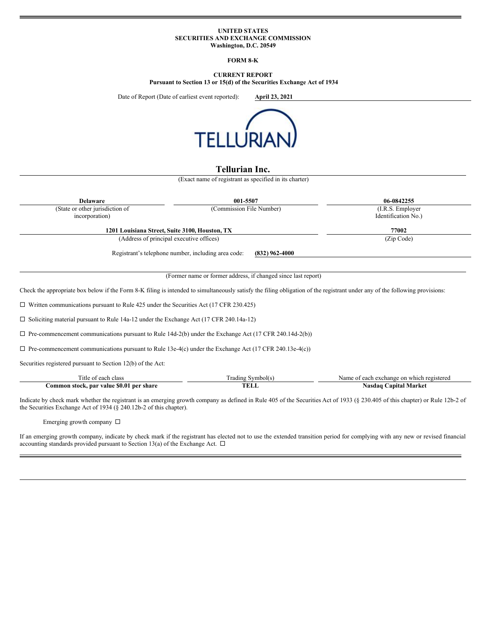### **UNITED STATES SECURITIES AND EXCHANGE COMMISSION Washington, D.C. 20549**

## **FORM 8-K**

# **CURRENT REPORT**

**Pursuant to Section 13 or 15(d) of the Securities Exchange Act of 1934**

Date of Report (Date of earliest event reported): **April 23, 2021**



# **Tellurian Inc.**

(Exact name of registrant as specified in its charter)

| <b>Delaware</b>                                                                                                                                                             | 001-5507                                                                | 06-0842255                                                                                                                                                                    |
|-----------------------------------------------------------------------------------------------------------------------------------------------------------------------------|-------------------------------------------------------------------------|-------------------------------------------------------------------------------------------------------------------------------------------------------------------------------|
| (State or other jurisdiction of                                                                                                                                             | (Commission File Number)                                                | (I.R.S. Employer                                                                                                                                                              |
| incorporation)                                                                                                                                                              |                                                                         | Identification No.)                                                                                                                                                           |
| 1201 Louisiana Street, Suite 3100, Houston, TX                                                                                                                              |                                                                         | 77002                                                                                                                                                                         |
| (Address of principal executive offices)                                                                                                                                    |                                                                         | (Zip Code)                                                                                                                                                                    |
|                                                                                                                                                                             | Registrant's telephone number, including area code:<br>$(832)$ 962-4000 |                                                                                                                                                                               |
|                                                                                                                                                                             | (Former name or former address, if changed since last report)           |                                                                                                                                                                               |
|                                                                                                                                                                             |                                                                         |                                                                                                                                                                               |
| Check the appropriate box below if the Form 8-K filing is intended to simultaneously satisfy the filing obligation of the registrant under any of the following provisions: |                                                                         |                                                                                                                                                                               |
| $\Box$ Written communications pursuant to Rule 425 under the Securities Act (17 CFR 230.425)                                                                                |                                                                         |                                                                                                                                                                               |
| $\Box$ Soliciting material pursuant to Rule 14a-12 under the Exchange Act (17 CFR 240.14a-12)                                                                               |                                                                         |                                                                                                                                                                               |
| $\Box$ Pre-commencement communications pursuant to Rule 14d-2(b) under the Exchange Act (17 CFR 240.14d-2(b))                                                               |                                                                         |                                                                                                                                                                               |
| $\Box$ Pre-commencement communications pursuant to Rule 13e-4(c) under the Exchange Act (17 CFR 240.13e-4(c))                                                               |                                                                         |                                                                                                                                                                               |
| Securities registered pursuant to Section 12(b) of the Act:                                                                                                                 |                                                                         |                                                                                                                                                                               |
| Title of each class                                                                                                                                                         | Trading Symbol(s)                                                       | Name of each exchange on which registered                                                                                                                                     |
| Common stock, par value \$0.01 per share                                                                                                                                    | <b>TELL</b>                                                             | <b>Nasdaq Capital Market</b>                                                                                                                                                  |
| the Securities Exchange Act of 1934 ( $\S$ 240.12b-2 of this chapter).                                                                                                      |                                                                         | Indicate by check mark whether the registrant is an emerging growth company as defined in Rule 405 of the Securities Act of 1933 (§ 230.405 of this chapter) or Rule 12b-2 of |
| Emerging growth company $\Box$                                                                                                                                              |                                                                         |                                                                                                                                                                               |

If an emerging growth company, indicate by check mark if the registrant has elected not to use the extended transition period for complying with any new or revised financial accounting standards provided pursuant to Section 13(a) of the Exchange Act.  $\Box$